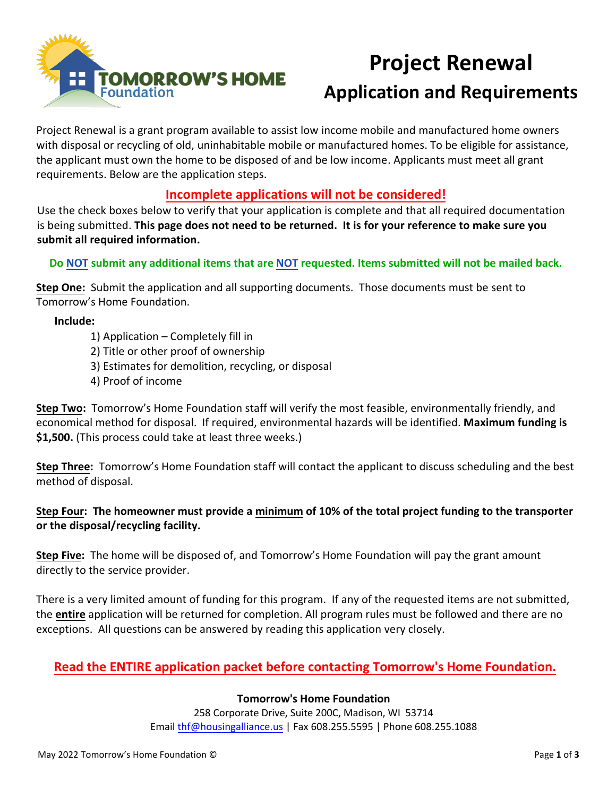

# **Project Renewal Application and Requirements**

Project Renewal is a grant program available to assist low income mobile and manufactured home owners with disposal or recycling of old, uninhabitable mobile or manufactured homes. To be eligible for assistance, the applicant must own the home to be disposed of and be low income. Applicants must meet all grant requirements. Below are the application steps.

## **Incomplete applications will not be considered!**

Use the check boxes below to verify that your application is complete and that all required documentation is being submitted. **This page does not need to be returned. It is for your reference to make sure you submit all required information.**

### **Do NOT submit any additional items that are NOT requested. Items submitted will not be mailed back.**

**Step One:** Submit the application and all supporting documents. Those documents must be sent to Tomorrow's Home Foundation.

#### **Include:**

- 1) Application Completely fill in
- 2) Title or other proof of ownership
- 3) Estimates for demolition, recycling, or disposal
- 4) Proof of income

**Step Two:** Tomorrow's Home Foundation staff will verify the most feasible, environmentally friendly, and economical method for disposal. If required, environmental hazards will be identified. **Maximum funding is \$1,500.** (This process could take at least three weeks.)

**Step Three:** Tomorrow's Home Foundation staff will contact the applicant to discuss scheduling and the best method of disposal.

## **Step Four: The homeowner must provide a minimum of 10% of the total project funding to the transporter or the disposal/recycling facility.**

**Step Five:** The home will be disposed of, and Tomorrow's Home Foundation will pay the grant amount directly to the service provider.

There is a very limited amount of funding for this program. If any of the requested items are not submitted, the **entire** application will be returned for completion. All program rules must be followed and there are no exceptions. All questions can be answered by reading this application very closely.

## **Read the ENTIRE application packet before contacting Tomorrow's Home Foundation.**

#### **[Tom](mailto:thf@housingalliance.us)orrow's Home Foundation**

258 Corporate Drive, Suite 200C, Madison, WI 53714 Email thf@housingalliance.us | Fax 608.255.5595 | Phone 608.255.1088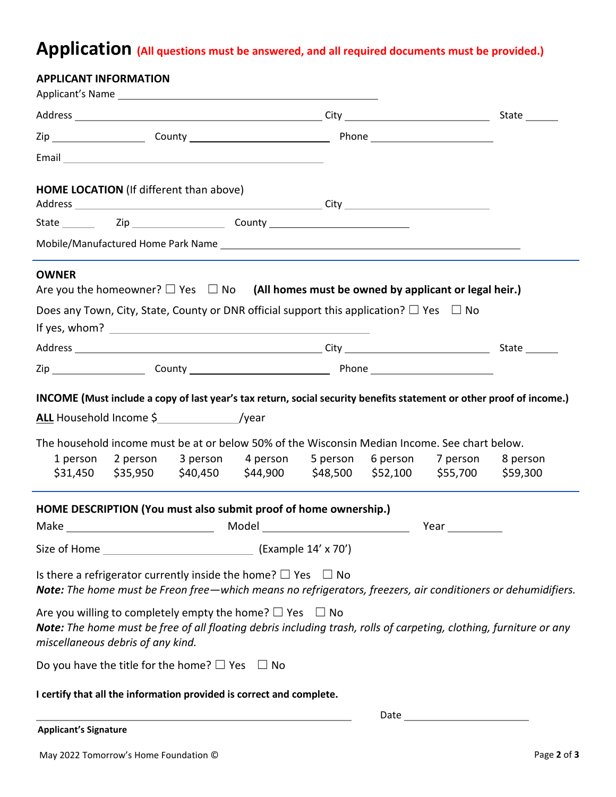## **Application (All questions must be answered, and all required documents must be provided.)**

| <b>APPLICANT INFORMATION</b>                                                                                      |  |  |                                                                                                                                                    |  |  |  |                                                                                                                      |  |
|-------------------------------------------------------------------------------------------------------------------|--|--|----------------------------------------------------------------------------------------------------------------------------------------------------|--|--|--|----------------------------------------------------------------------------------------------------------------------|--|
|                                                                                                                   |  |  |                                                                                                                                                    |  |  |  |                                                                                                                      |  |
|                                                                                                                   |  |  |                                                                                                                                                    |  |  |  |                                                                                                                      |  |
|                                                                                                                   |  |  |                                                                                                                                                    |  |  |  |                                                                                                                      |  |
|                                                                                                                   |  |  |                                                                                                                                                    |  |  |  |                                                                                                                      |  |
| HOME LOCATION (If different than above)                                                                           |  |  |                                                                                                                                                    |  |  |  |                                                                                                                      |  |
| State ________  Zip ___________________________County __________________________                                  |  |  |                                                                                                                                                    |  |  |  |                                                                                                                      |  |
|                                                                                                                   |  |  |                                                                                                                                                    |  |  |  |                                                                                                                      |  |
| <b>OWNER</b><br>Are you the homeowner? $\Box$ Yes $\Box$ No (All homes must be owned by applicant or legal heir.) |  |  |                                                                                                                                                    |  |  |  |                                                                                                                      |  |
| Does any Town, City, State, County or DNR official support this application? $\Box$ Yes $\Box$ No                 |  |  |                                                                                                                                                    |  |  |  |                                                                                                                      |  |
|                                                                                                                   |  |  |                                                                                                                                                    |  |  |  |                                                                                                                      |  |
|                                                                                                                   |  |  |                                                                                                                                                    |  |  |  | State $\_\_$                                                                                                         |  |
|                                                                                                                   |  |  |                                                                                                                                                    |  |  |  |                                                                                                                      |  |
| ALL Household Income \$ //year                                                                                    |  |  |                                                                                                                                                    |  |  |  | INCOME (Must include a copy of last year's tax return, social security benefits statement or other proof of income.) |  |
| The household income must be at or below 50% of the Wisconsin Median Income. See chart below.                     |  |  |                                                                                                                                                    |  |  |  |                                                                                                                      |  |
|                                                                                                                   |  |  | 1 person 2 person 3 person 4 person 5 person 6 person 7 person 8 person<br>\$31,450 \$35,950 \$40,450 \$44,900 \$48,500 \$52,100 \$55,700 \$59,300 |  |  |  |                                                                                                                      |  |
| HOME DESCRIPTION (You must also submit proof of home ownership.)                                                  |  |  |                                                                                                                                                    |  |  |  |                                                                                                                      |  |
|                                                                                                                   |  |  |                                                                                                                                                    |  |  |  |                                                                                                                      |  |
| Is there a refrigerator currently inside the home? $\Box$ Yes $\Box$ No                                           |  |  |                                                                                                                                                    |  |  |  | Note: The home must be Freon free-which means no refrigerators, freezers, air conditioners or dehumidifiers.         |  |
| Are you willing to completely empty the home? $\Box$ Yes $\Box$ No<br>miscellaneous debris of any kind.           |  |  |                                                                                                                                                    |  |  |  | Note: The home must be free of all floating debris including trash, rolls of carpeting, clothing, furniture or any   |  |
| Do you have the title for the home? $\Box$ Yes $\Box$ No                                                          |  |  |                                                                                                                                                    |  |  |  |                                                                                                                      |  |
| I certify that all the information provided is correct and complete.                                              |  |  |                                                                                                                                                    |  |  |  |                                                                                                                      |  |
|                                                                                                                   |  |  | <u> 1989 - Johann Stein, mars an deutscher Stein und der Stein und der Stein und der Stein und der Stein und der</u>                               |  |  |  |                                                                                                                      |  |
| <b>Applicant's Signature</b>                                                                                      |  |  |                                                                                                                                                    |  |  |  |                                                                                                                      |  |